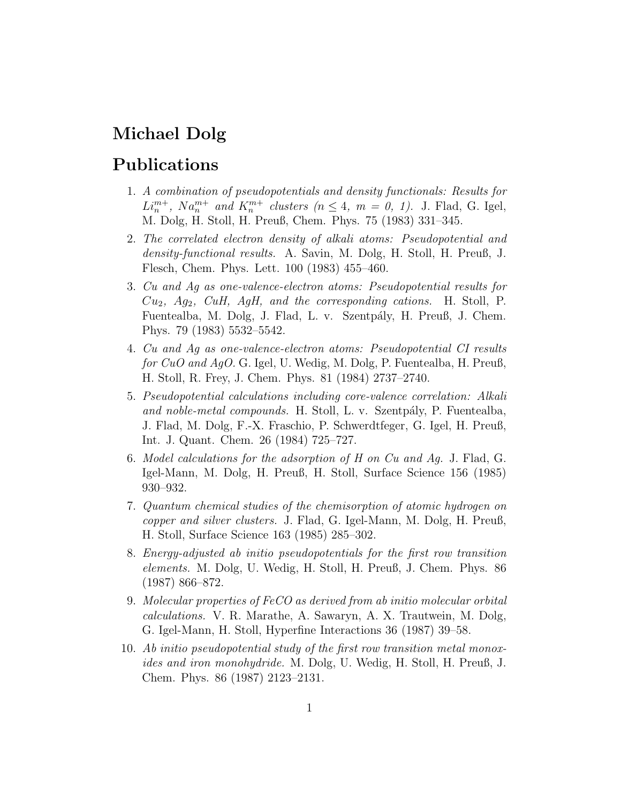# Michael Dolg

### Publications

- 1. A combination of pseudopotentials and density functionals: Results for  $L_i^{m+}$ ,  $Na_n^{m+}$  and  $K_i^{m+}$  clusters  $(n \leq 4, m = 0, 1)$ . J. Flad, G. Igel, M. Dolg, H. Stoll, H. Preuß, Chem. Phys. 75 (1983) 331–345.
- 2. The correlated electron density of alkali atoms: Pseudopotential and density-functional results. A. Savin, M. Dolg, H. Stoll, H. Preuß, J. Flesch, Chem. Phys. Lett. 100 (1983) 455–460.
- 3. Cu and Ag as one-valence-electron atoms: Pseudopotential results for  $Cu_2$ ,  $Ag_2$ ,  $CuH$ ,  $AgH$ , and the corresponding cations. H. Stoll, P. Fuentealba, M. Dolg, J. Flad, L. v. Szentpály, H. Preuß, J. Chem. Phys. 79 (1983) 5532–5542.
- 4. Cu and Ag as one-valence-electron atoms: Pseudopotential CI results for CuO and AgO. G. Igel, U. Wedig, M. Dolg, P. Fuentealba, H. Preuß, H. Stoll, R. Frey, J. Chem. Phys. 81 (1984) 2737–2740.
- 5. Pseudopotential calculations including core-valence correlation: Alkali and noble-metal compounds. H. Stoll, L. v. Szentpály, P. Fuentealba, J. Flad, M. Dolg, F.-X. Fraschio, P. Schwerdtfeger, G. Igel, H. Preuß, Int. J. Quant. Chem. 26 (1984) 725–727.
- 6. Model calculations for the adsorption of H on Cu and Ag. J. Flad, G. Igel-Mann, M. Dolg, H. Preuß, H. Stoll, Surface Science 156 (1985) 930–932.
- 7. Quantum chemical studies of the chemisorption of atomic hydrogen on copper and silver clusters. J. Flad, G. Igel-Mann, M. Dolg, H. Preuß, H. Stoll, Surface Science 163 (1985) 285–302.
- 8. Energy-adjusted ab initio pseudopotentials for the first row transition elements. M. Dolg, U. Wedig, H. Stoll, H. Preuß, J. Chem. Phys. 86 (1987) 866–872.
- 9. Molecular properties of FeCO as derived from ab initio molecular orbital calculations. V. R. Marathe, A. Sawaryn, A. X. Trautwein, M. Dolg, G. Igel-Mann, H. Stoll, Hyperfine Interactions 36 (1987) 39–58.
- 10. Ab initio pseudopotential study of the first row transition metal monoxides and iron monohydride. M. Dolg, U. Wedig, H. Stoll, H. Preuß, J. Chem. Phys. 86 (1987) 2123–2131.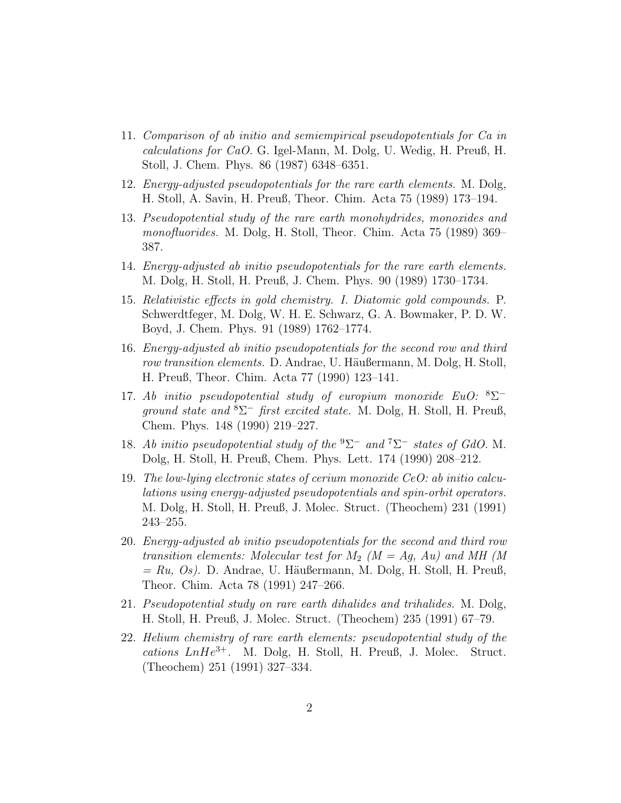- 11. Comparison of ab initio and semiempirical pseudopotentials for Ca in calculations for CaO. G. Igel-Mann, M. Dolg, U. Wedig, H. Preuß, H. Stoll, J. Chem. Phys. 86 (1987) 6348–6351.
- 12. Energy-adjusted pseudopotentials for the rare earth elements. M. Dolg, H. Stoll, A. Savin, H. Preuß, Theor. Chim. Acta 75 (1989) 173–194.
- 13. Pseudopotential study of the rare earth monohydrides, monoxides and monofluorides. M. Dolg, H. Stoll, Theor. Chim. Acta 75 (1989) 369– 387.
- 14. Energy-adjusted ab initio pseudopotentials for the rare earth elements. M. Dolg, H. Stoll, H. Preuß, J. Chem. Phys. 90 (1989) 1730–1734.
- 15. Relativistic effects in gold chemistry. I. Diatomic gold compounds. P. Schwerdtfeger, M. Dolg, W. H. E. Schwarz, G. A. Bowmaker, P. D. W. Boyd, J. Chem. Phys. 91 (1989) 1762–1774.
- 16. Energy-adjusted ab initio pseudopotentials for the second row and third row transition elements. D. Andrae, U. Häußermann, M. Dolg, H. Stoll, H. Preuß, Theor. Chim. Acta 77 (1990) 123–141.
- 17. Ab initio pseudopotential study of europium monoxide  $EuO:$   ${}^{8}\Sigma^{-}$ ground state and  ${}^{8}\Sigma^{-}$  first excited state. M. Dolg, H. Stoll, H. Preuß, Chem. Phys. 148 (1990) 219–227.
- 18. Ab initio pseudopotential study of the  ${}^{9}\Sigma^{-}$  and  ${}^{7}\Sigma^{-}$  states of GdO. M. Dolg, H. Stoll, H. Preuß, Chem. Phys. Lett. 174 (1990) 208–212.
- 19. The low-lying electronic states of cerium monoxide CeO: ab initio calculations using energy-adjusted pseudopotentials and spin-orbit operators. M. Dolg, H. Stoll, H. Preuß, J. Molec. Struct. (Theochem) 231 (1991) 243–255.
- 20. Energy-adjusted ab initio pseudopotentials for the second and third row transition elements: Molecular test for  $M_2$  ( $M = Ag$ , Au) and MH (M  $= Ru, Os$ ). D. Andrae, U. Häußermann, M. Dolg, H. Stoll, H. Preuß, Theor. Chim. Acta 78 (1991) 247–266.
- 21. Pseudopotential study on rare earth dihalides and trihalides. M. Dolg, H. Stoll, H. Preuß, J. Molec. Struct. (Theochem) 235 (1991) 67–79.
- 22. Helium chemistry of rare earth elements: pseudopotential study of the  $cations$   $LnHe^{3+}$ . M. Dolg, H. Stoll, H. Preuß, J. Molec. Struct. (Theochem) 251 (1991) 327–334.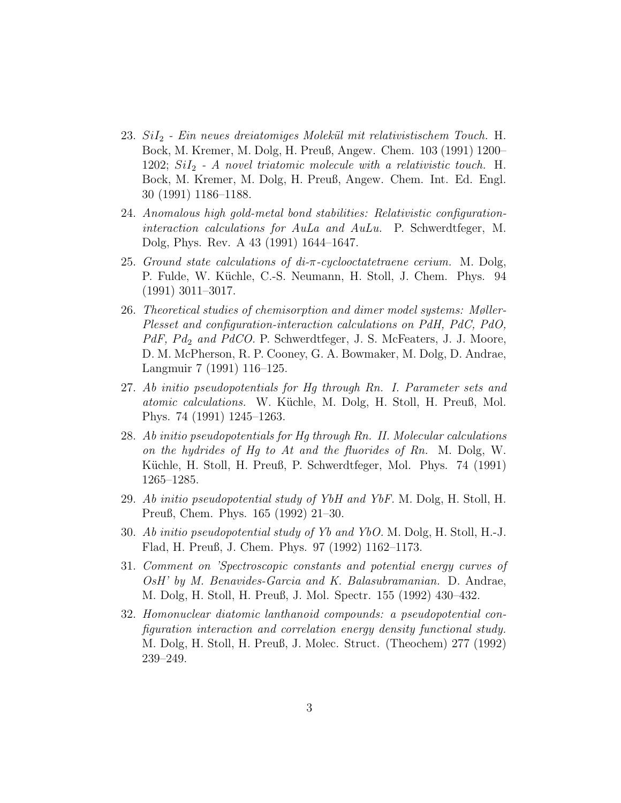- $23.$   $SiI<sub>2</sub>$  Ein neues dreiatomiges Molekül mit relativistischem Touch. H. Bock, M. Kremer, M. Dolg, H. Preuß, Angew. Chem. 103 (1991) 1200– 1202;  $SiI<sub>2</sub>$  - A novel triatomic molecule with a relativistic touch. H. Bock, M. Kremer, M. Dolg, H. Preuß, Angew. Chem. Int. Ed. Engl. 30 (1991) 1186–1188.
- 24. Anomalous high gold-metal bond stabilities: Relativistic configurationinteraction calculations for AuLa and AuLu. P. Schwerdtfeger, M. Dolg, Phys. Rev. A 43 (1991) 1644–1647.
- 25. Ground state calculations of  $di$ -π-cyclooctatetraene cerium. M. Dolg, P. Fulde, W. Küchle, C.-S. Neumann, H. Stoll, J. Chem. Phys. 94 (1991) 3011–3017.
- 26. Theoretical studies of chemisorption and dimer model systems: Møller-Plesset and configuration-interaction calculations on PdH, PdC, PdO,  $PdF$ ,  $Pd_2$  and  $PdCO$ . P. Schwerdtfeger, J. S. McFeaters, J. J. Moore, D. M. McPherson, R. P. Cooney, G. A. Bowmaker, M. Dolg, D. Andrae, Langmuir 7 (1991) 116–125.
- 27. Ab initio pseudopotentials for Hg through Rn. I. Parameter sets and atomic calculations. W. Küchle, M. Dolg, H. Stoll, H. Preuß, Mol. Phys. 74 (1991) 1245–1263.
- 28. Ab initio pseudopotentials for Hg through Rn. II. Molecular calculations on the hydrides of Hg to At and the fluorides of Rn. M. Dolg, W. Küchle, H. Stoll, H. Preuß, P. Schwerdtfeger, Mol. Phys. 74 (1991) 1265–1285.
- 29. Ab initio pseudopotential study of YbH and YbF. M. Dolg, H. Stoll, H. Preuß, Chem. Phys. 165 (1992) 21–30.
- 30. Ab initio pseudopotential study of Yb and YbO. M. Dolg, H. Stoll, H.-J. Flad, H. Preuß, J. Chem. Phys. 97 (1992) 1162–1173.
- 31. Comment on 'Spectroscopic constants and potential energy curves of OsH' by M. Benavides-Garcia and K. Balasubramanian. D. Andrae, M. Dolg, H. Stoll, H. Preuß, J. Mol. Spectr. 155 (1992) 430–432.
- 32. Homonuclear diatomic lanthanoid compounds: a pseudopotential configuration interaction and correlation energy density functional study. M. Dolg, H. Stoll, H. Preuß, J. Molec. Struct. (Theochem) 277 (1992) 239–249.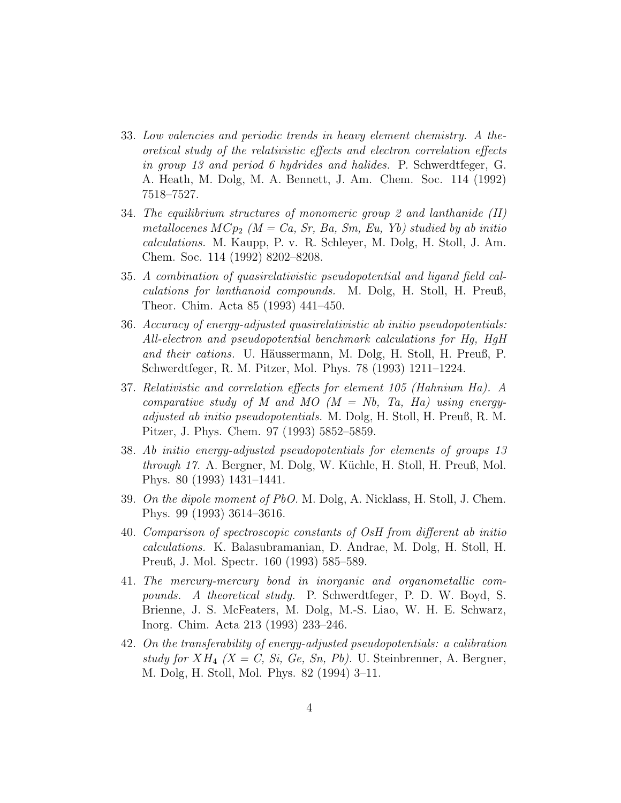- 33. Low valencies and periodic trends in heavy element chemistry. A theoretical study of the relativistic effects and electron correlation effects in group 13 and period 6 hydrides and halides. P. Schwerdtfeger, G. A. Heath, M. Dolg, M. A. Bennett, J. Am. Chem. Soc. 114 (1992) 7518–7527.
- 34. The equilibrium structures of monomeric group 2 and lanthanide (II) metallocenes  $MCp_2$  ( $M = Ca$ , Sr, Ba, Sm, Eu, Yb) studied by ab initio calculations. M. Kaupp, P. v. R. Schleyer, M. Dolg, H. Stoll, J. Am. Chem. Soc. 114 (1992) 8202–8208.
- 35. A combination of quasirelativistic pseudopotential and ligand field calculations for lanthanoid compounds. M. Dolg, H. Stoll, H. Preuß, Theor. Chim. Acta 85 (1993) 441–450.
- 36. Accuracy of energy-adjusted quasirelativistic ab initio pseudopotentials: All-electron and pseudopotential benchmark calculations for Hg, HgH and their cations. U. Häussermann, M. Dolg, H. Stoll, H. Preuß, P. Schwerdtfeger, R. M. Pitzer, Mol. Phys. 78 (1993) 1211–1224.
- 37. Relativistic and correlation effects for element 105 (Hahnium Ha). A comparative study of M and MO  $(M = Nb, Ta, Ha)$  using energyadjusted ab initio pseudopotentials. M. Dolg, H. Stoll, H. Preuß, R. M. Pitzer, J. Phys. Chem. 97 (1993) 5852–5859.
- 38. Ab initio energy-adjusted pseudopotentials for elements of groups 13 through 17. A. Bergner, M. Dolg, W. Küchle, H. Stoll, H. Preuß, Mol. Phys. 80 (1993) 1431–1441.
- 39. On the dipole moment of PbO. M. Dolg, A. Nicklass, H. Stoll, J. Chem. Phys. 99 (1993) 3614–3616.
- 40. Comparison of spectroscopic constants of OsH from different ab initio calculations. K. Balasubramanian, D. Andrae, M. Dolg, H. Stoll, H. Preuß, J. Mol. Spectr. 160 (1993) 585–589.
- 41. The mercury-mercury bond in inorganic and organometallic compounds. A theoretical study. P. Schwerdtfeger, P. D. W. Boyd, S. Brienne, J. S. McFeaters, M. Dolg, M.-S. Liao, W. H. E. Schwarz, Inorg. Chim. Acta 213 (1993) 233–246.
- 42. On the transferability of energy-adjusted pseudopotentials: a calibration study for  $XH_4$   $(X = C, Si, Ge, Sn, Pb)$ . U. Steinbrenner, A. Bergner, M. Dolg, H. Stoll, Mol. Phys. 82 (1994) 3–11.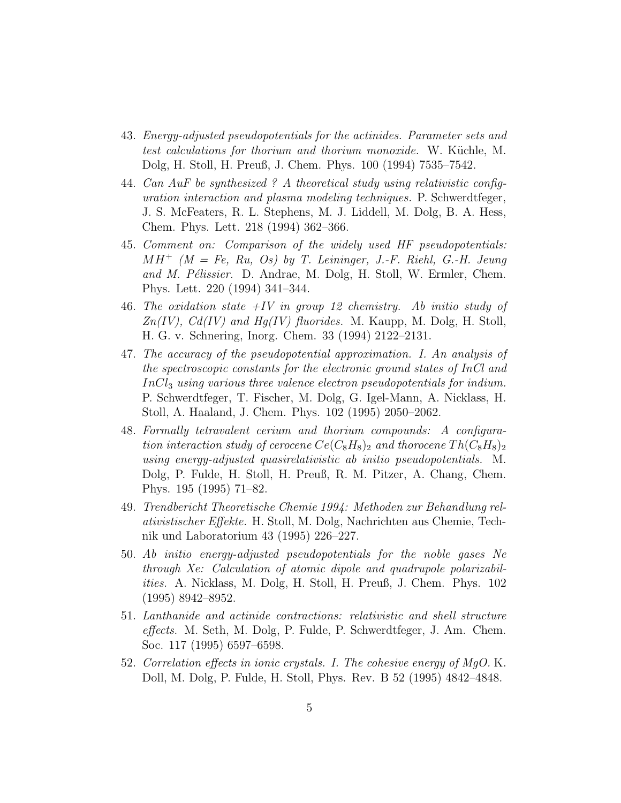- 43. Energy-adjusted pseudopotentials for the actinides. Parameter sets and test calculations for thorium and thorium monoxide. W. Küchle, M. Dolg, H. Stoll, H. Preuß, J. Chem. Phys. 100 (1994) 7535–7542.
- 44. Can AuF be synthesized ? A theoretical study using relativistic configuration interaction and plasma modeling techniques. P. Schwerdtfeger, J. S. McFeaters, R. L. Stephens, M. J. Liddell, M. Dolg, B. A. Hess, Chem. Phys. Lett. 218 (1994) 362–366.
- 45. Comment on: Comparison of the widely used HF pseudopotentials:  $MH^+$  ( $M = Fe$ , Ru, Os) by T. Leininger, J.-F. Riehl, G.-H. Jeung and M. Pélissier. D. Andrae, M. Dolg, H. Stoll, W. Ermler, Chem. Phys. Lett. 220 (1994) 341–344.
- 46. The oxidation state  $+IV$  in group 12 chemistry. Ab initio study of  $Zn(IV)$ ,  $Cd(IV)$  and  $Hg(IV)$  fluorides. M. Kaupp, M. Dolg, H. Stoll, H. G. v. Schnering, Inorg. Chem. 33 (1994) 2122–2131.
- 47. The accuracy of the pseudopotential approximation. I. An analysis of the spectroscopic constants for the electronic ground states of InCl and  $InCl<sub>3</sub> using various three valence electron pseudopotentials for indium.$ P. Schwerdtfeger, T. Fischer, M. Dolg, G. Igel-Mann, A. Nicklass, H. Stoll, A. Haaland, J. Chem. Phys. 102 (1995) 2050–2062.
- 48. Formally tetravalent cerium and thorium compounds: A configuration interaction study of cerocene  $Ce(C_8H_8)_2$  and thorocene  $Th(C_8H_8)_2$ using energy-adjusted quasirelativistic ab initio pseudopotentials. M. Dolg, P. Fulde, H. Stoll, H. Preuß, R. M. Pitzer, A. Chang, Chem. Phys. 195 (1995) 71–82.
- 49. Trendbericht Theoretische Chemie 1994: Methoden zur Behandlung relativistischer Effekte. H. Stoll, M. Dolg, Nachrichten aus Chemie, Technik und Laboratorium 43 (1995) 226–227.
- 50. Ab initio energy-adjusted pseudopotentials for the noble gases Ne through Xe: Calculation of atomic dipole and quadrupole polarizabilities. A. Nicklass, M. Dolg, H. Stoll, H. Preuß, J. Chem. Phys. 102 (1995) 8942–8952.
- 51. Lanthanide and actinide contractions: relativistic and shell structure effects. M. Seth, M. Dolg, P. Fulde, P. Schwerdtfeger, J. Am. Chem. Soc. 117 (1995) 6597–6598.
- 52. Correlation effects in ionic crystals. I. The cohesive energy of MgO. K. Doll, M. Dolg, P. Fulde, H. Stoll, Phys. Rev. B 52 (1995) 4842–4848.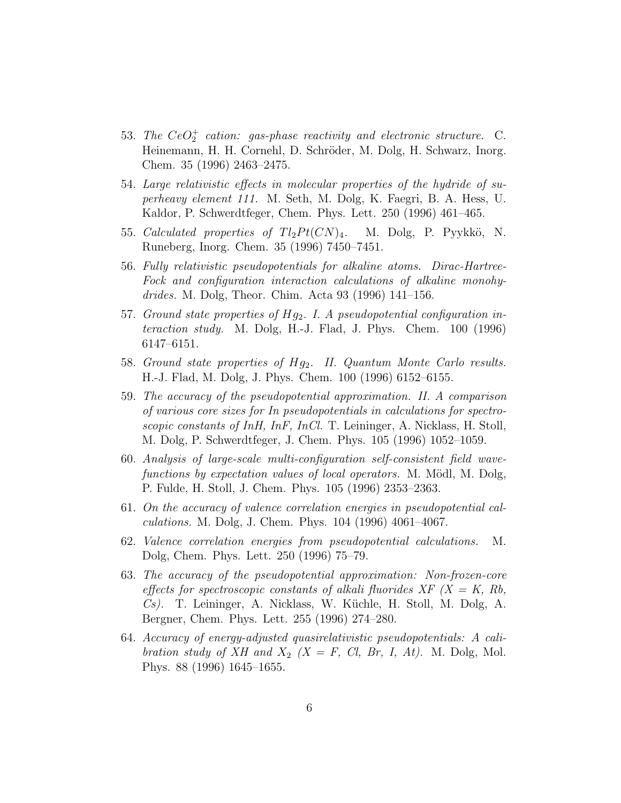- 53. The  $CeO_2^+$  cation: gas-phase reactivity and electronic structure. C. Heinemann, H. H. Cornehl, D. Schröder, M. Dolg, H. Schwarz, Inorg. Chem. 35 (1996) 2463–2475.
- 54. Large relativistic effects in molecular properties of the hydride of superheavy element 111. M. Seth, M. Dolg, K. Faegri, B. A. Hess, U. Kaldor, P. Schwerdtfeger, Chem. Phys. Lett. 250 (1996) 461–465.
- 55. Calculated properties of  $Tl_2Pt(CN)_4$ . M. Dolg, P. Pyykkö, N. Runeberg, Inorg. Chem. 35 (1996) 7450–7451.
- 56. Fully relativistic pseudopotentials for alkaline atoms. Dirac-Hartree-Fock and configuration interaction calculations of alkaline monohydrides. M. Dolg, Theor. Chim. Acta 93 (1996) 141–156.
- 57. Ground state properties of  $Hg_2$ . I. A pseudopotential configuration interaction study. M. Dolg, H.-J. Flad, J. Phys. Chem. 100 (1996) 6147–6151.
- 58. Ground state properties of  $Hg_2$ . II. Quantum Monte Carlo results. H.-J. Flad, M. Dolg, J. Phys. Chem. 100 (1996) 6152–6155.
- 59. The accuracy of the pseudopotential approximation. II. A comparison of various core sizes for In pseudopotentials in calculations for spectroscopic constants of InH, InF, InCl. T. Leininger, A. Nicklass, H. Stoll, M. Dolg, P. Schwerdtfeger, J. Chem. Phys. 105 (1996) 1052–1059.
- 60. Analysis of large-scale multi-configuration self-consistent field wavefunctions by expectation values of local operators. M. Mödl, M. Dolg, P. Fulde, H. Stoll, J. Chem. Phys. 105 (1996) 2353–2363.
- 61. On the accuracy of valence correlation energies in pseudopotential calculations. M. Dolg, J. Chem. Phys. 104 (1996) 4061–4067.
- 62. Valence correlation energies from pseudopotential calculations. M. Dolg, Chem. Phys. Lett. 250 (1996) 75–79.
- 63. The accuracy of the pseudopotential approximation: Non-frozen-core effects for spectroscopic constants of alkali fluorides  $XF$   $(X = K, Rb)$ ,  $Cs$ ). T. Leininger, A. Nicklass, W. Küchle, H. Stoll, M. Dolg, A. Bergner, Chem. Phys. Lett. 255 (1996) 274–280.
- 64. Accuracy of energy-adjusted quasirelativistic pseudopotentials: A calibration study of XH and  $X_2$   $(X = F, Cl, Br, I, At)$ . M. Dolg, Mol. Phys. 88 (1996) 1645–1655.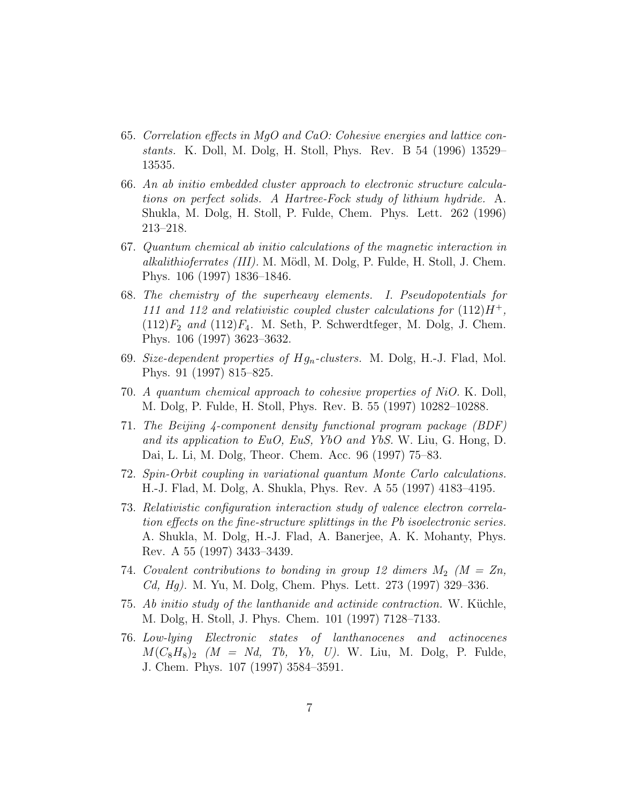- 65. Correlation effects in MgO and CaO: Cohesive energies and lattice constants. K. Doll, M. Dolg, H. Stoll, Phys. Rev. B 54 (1996) 13529– 13535.
- 66. An ab initio embedded cluster approach to electronic structure calculations on perfect solids. A Hartree-Fock study of lithium hydride. A. Shukla, M. Dolg, H. Stoll, P. Fulde, Chem. Phys. Lett. 262 (1996) 213–218.
- 67. Quantum chemical ab initio calculations of the magnetic interaction in alkalithioferrates (III). M. Mödl, M. Dolg, P. Fulde, H. Stoll, J. Chem. Phys. 106 (1997) 1836–1846.
- 68. The chemistry of the superheavy elements. I. Pseudopotentials for 111 and 112 and relativistic coupled cluster calculations for  $(112)H^+$ ,  $(112)F_2$  and  $(112)F_4$ . M. Seth, P. Schwerdtfeger, M. Dolg, J. Chem. Phys. 106 (1997) 3623–3632.
- 69. Size-dependent properties of  $Hg_n$ -clusters. M. Dolg, H.-J. Flad, Mol. Phys. 91 (1997) 815–825.
- 70. A quantum chemical approach to cohesive properties of NiO. K. Doll, M. Dolg, P. Fulde, H. Stoll, Phys. Rev. B. 55 (1997) 10282–10288.
- 71. The Beijing 4-component density functional program package (BDF) and its application to EuO, EuS, YbO and YbS. W. Liu, G. Hong, D. Dai, L. Li, M. Dolg, Theor. Chem. Acc. 96 (1997) 75–83.
- 72. Spin-Orbit coupling in variational quantum Monte Carlo calculations. H.-J. Flad, M. Dolg, A. Shukla, Phys. Rev. A 55 (1997) 4183–4195.
- 73. Relativistic configuration interaction study of valence electron correlation effects on the fine-structure splittings in the Pb isoelectronic series. A. Shukla, M. Dolg, H.-J. Flad, A. Banerjee, A. K. Mohanty, Phys. Rev. A 55 (1997) 3433–3439.
- 74. Covalent contributions to bonding in group 12 dimers  $M_2$  ( $M = Zn$ , Cd, Hg). M. Yu, M. Dolg, Chem. Phys. Lett. 273 (1997) 329–336.
- 75. Ab initio study of the lanthanide and actinide contraction. W. Küchle, M. Dolg, H. Stoll, J. Phys. Chem. 101 (1997) 7128–7133.
- 76. Low-lying Electronic states of lanthanocenes and actinocenes  $M(C_8H_8)_2$  (M = Nd, Tb, Yb, U). W. Liu, M. Dolg, P. Fulde, J. Chem. Phys. 107 (1997) 3584–3591.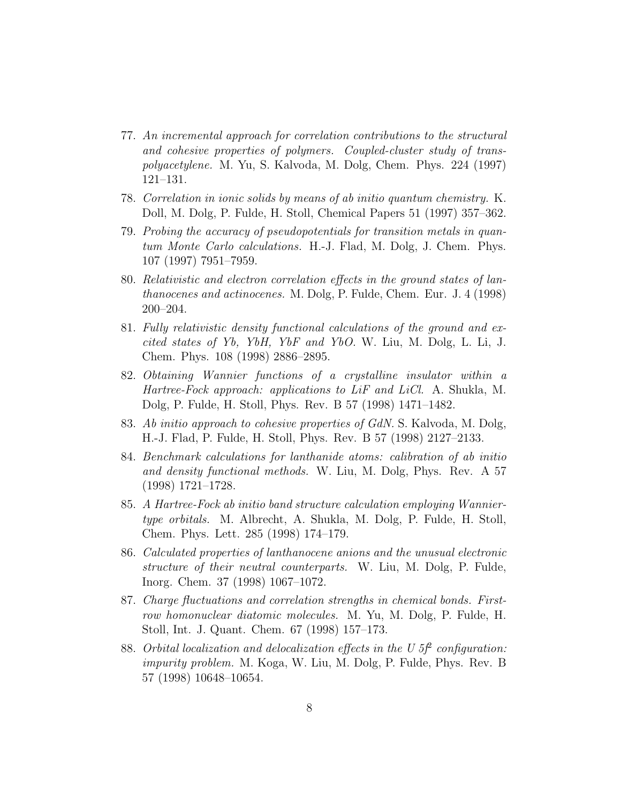- 77. An incremental approach for correlation contributions to the structural and cohesive properties of polymers. Coupled-cluster study of transpolyacetylene. M. Yu, S. Kalvoda, M. Dolg, Chem. Phys. 224 (1997) 121–131.
- 78. Correlation in ionic solids by means of ab initio quantum chemistry. K. Doll, M. Dolg, P. Fulde, H. Stoll, Chemical Papers 51 (1997) 357–362.
- 79. Probing the accuracy of pseudopotentials for transition metals in quantum Monte Carlo calculations. H.-J. Flad, M. Dolg, J. Chem. Phys. 107 (1997) 7951–7959.
- 80. Relativistic and electron correlation effects in the ground states of lanthanocenes and actinocenes. M. Dolg, P. Fulde, Chem. Eur. J. 4 (1998) 200–204.
- 81. Fully relativistic density functional calculations of the ground and excited states of Yb, YbH, YbF and YbO. W. Liu, M. Dolg, L. Li, J. Chem. Phys. 108 (1998) 2886–2895.
- 82. Obtaining Wannier functions of a crystalline insulator within a Hartree-Fock approach: applications to LiF and LiCl. A. Shukla, M. Dolg, P. Fulde, H. Stoll, Phys. Rev. B 57 (1998) 1471–1482.
- 83. Ab initio approach to cohesive properties of GdN. S. Kalvoda, M. Dolg, H.-J. Flad, P. Fulde, H. Stoll, Phys. Rev. B 57 (1998) 2127–2133.
- 84. Benchmark calculations for lanthanide atoms: calibration of ab initio and density functional methods. W. Liu, M. Dolg, Phys. Rev. A 57 (1998) 1721–1728.
- 85. A Hartree-Fock ab initio band structure calculation employing Wanniertype orbitals. M. Albrecht, A. Shukla, M. Dolg, P. Fulde, H. Stoll, Chem. Phys. Lett. 285 (1998) 174–179.
- 86. Calculated properties of lanthanocene anions and the unusual electronic structure of their neutral counterparts. W. Liu, M. Dolg, P. Fulde, Inorg. Chem. 37 (1998) 1067–1072.
- 87. Charge fluctuations and correlation strengths in chemical bonds. Firstrow homonuclear diatomic molecules. M. Yu, M. Dolg, P. Fulde, H. Stoll, Int. J. Quant. Chem. 67 (1998) 157–173.
- 88. Orbital localization and delocalization effects in the U  $5f<sup>2</sup>$  configuration: impurity problem. M. Koga, W. Liu, M. Dolg, P. Fulde, Phys. Rev. B 57 (1998) 10648–10654.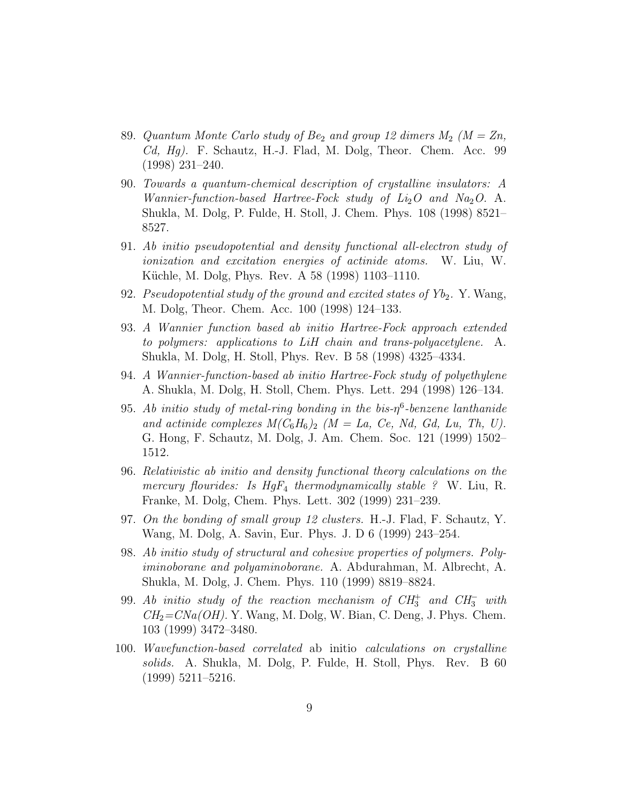- 89. Quantum Monte Carlo study of  $Be_2$  and group 12 dimers  $M_2$  ( $M = Zn$ , Cd, Hg). F. Schautz, H.-J. Flad, M. Dolg, Theor. Chem. Acc. 99 (1998) 231–240.
- 90. Towards a quantum-chemical description of crystalline insulators: A Wannier-function-based Hartree-Fock study of  $Li_2O$  and  $Na_2O$ . A. Shukla, M. Dolg, P. Fulde, H. Stoll, J. Chem. Phys. 108 (1998) 8521– 8527.
- 91. Ab initio pseudopotential and density functional all-electron study of ionization and excitation energies of actinide atoms. W. Liu, W. Küchle, M. Dolg, Phys. Rev. A 58 (1998) 1103–1110.
- 92. Pseudopotential study of the ground and excited states of  $Yb_2$ . Y. Wang, M. Dolg, Theor. Chem. Acc. 100 (1998) 124–133.
- 93. A Wannier function based ab initio Hartree-Fock approach extended to polymers: applications to LiH chain and trans-polyacetylene. A. Shukla, M. Dolg, H. Stoll, Phys. Rev. B 58 (1998) 4325–4334.
- 94. A Wannier-function-based ab initio Hartree-Fock study of polyethylene A. Shukla, M. Dolg, H. Stoll, Chem. Phys. Lett. 294 (1998) 126–134.
- 95. Ab initio study of metal-ring bonding in the bis- $\eta^6$ -benzene lanthanide and actinide complexes  $M(C_6H_6)_2$  (M = La, Ce, Nd, Gd, Lu, Th, U). G. Hong, F. Schautz, M. Dolg, J. Am. Chem. Soc. 121 (1999) 1502– 1512.
- 96. Relativistic ab initio and density functional theory calculations on the mercury flourides: Is  $HgF_4$  thermodynamically stable ? W. Liu, R. Franke, M. Dolg, Chem. Phys. Lett. 302 (1999) 231–239.
- 97. On the bonding of small group 12 clusters. H.-J. Flad, F. Schautz, Y. Wang, M. Dolg, A. Savin, Eur. Phys. J. D 6 (1999) 243–254.
- 98. Ab initio study of structural and cohesive properties of polymers. Polyiminoborane and polyaminoborane. A. Abdurahman, M. Albrecht, A. Shukla, M. Dolg, J. Chem. Phys. 110 (1999) 8819–8824.
- 99. Ab initio study of the reaction mechanism of  $CH_3^+$  and  $CH_3^-$  with  $CH<sub>2</sub>=CNa(OH)$ . Y. Wang, M. Dolg, W. Bian, C. Deng, J. Phys. Chem. 103 (1999) 3472–3480.
- 100. Wavefunction-based correlated ab initio calculations on crystalline solids. A. Shukla, M. Dolg, P. Fulde, H. Stoll, Phys. Rev. B 60 (1999) 5211–5216.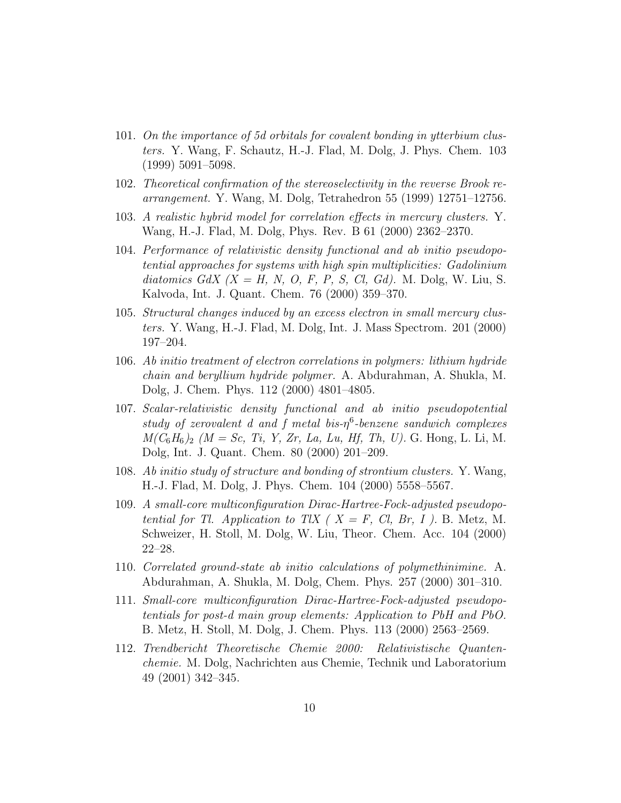- 101. On the importance of 5d orbitals for covalent bonding in ytterbium clusters. Y. Wang, F. Schautz, H.-J. Flad, M. Dolg, J. Phys. Chem. 103 (1999) 5091–5098.
- 102. Theoretical confirmation of the stereoselectivity in the reverse Brook rearrangement. Y. Wang, M. Dolg, Tetrahedron 55 (1999) 12751–12756.
- 103. A realistic hybrid model for correlation effects in mercury clusters. Y. Wang, H.-J. Flad, M. Dolg, Phys. Rev. B 61 (2000) 2362–2370.
- 104. Performance of relativistic density functional and ab initio pseudopotential approaches for systems with high spin multiplicities: Gadolinium diatomics GdX  $(X = H, N, O, F, P, S, Cl, Gd)$ . M. Dolg, W. Liu, S. Kalvoda, Int. J. Quant. Chem. 76 (2000) 359–370.
- 105. Structural changes induced by an excess electron in small mercury clusters. Y. Wang, H.-J. Flad, M. Dolg, Int. J. Mass Spectrom. 201 (2000) 197–204.
- 106. Ab initio treatment of electron correlations in polymers: lithium hydride chain and beryllium hydride polymer. A. Abdurahman, A. Shukla, M. Dolg, J. Chem. Phys. 112 (2000) 4801–4805.
- 107. Scalar-relativistic density functional and ab initio pseudopotential study of zerovalent d and f metal bis- $\eta^6$ -benzene sandwich complexes  $M(C_6H_6)_2$  (M = Sc, Ti, Y, Zr, La, Lu, Hf, Th, U). G. Hong, L. Li, M. Dolg, Int. J. Quant. Chem. 80 (2000) 201–209.
- 108. Ab initio study of structure and bonding of strontium clusters. Y. Wang, H.-J. Flad, M. Dolg, J. Phys. Chem. 104 (2000) 5558–5567.
- 109. A small-core multiconfiguration Dirac-Hartree-Fock-adjusted pseudopotential for Tl. Application to TlX ( $X = F$ , Cl, Br, I). B. Metz, M. Schweizer, H. Stoll, M. Dolg, W. Liu, Theor. Chem. Acc. 104 (2000) 22–28.
- 110. Correlated ground-state ab initio calculations of polymethinimine. A. Abdurahman, A. Shukla, M. Dolg, Chem. Phys. 257 (2000) 301–310.
- 111. Small-core multiconfiguration Dirac-Hartree-Fock-adjusted pseudopotentials for post-d main group elements: Application to PbH and PbO. B. Metz, H. Stoll, M. Dolg, J. Chem. Phys. 113 (2000) 2563–2569.
- 112. Trendbericht Theoretische Chemie 2000: Relativistische Quantenchemie. M. Dolg, Nachrichten aus Chemie, Technik und Laboratorium 49 (2001) 342–345.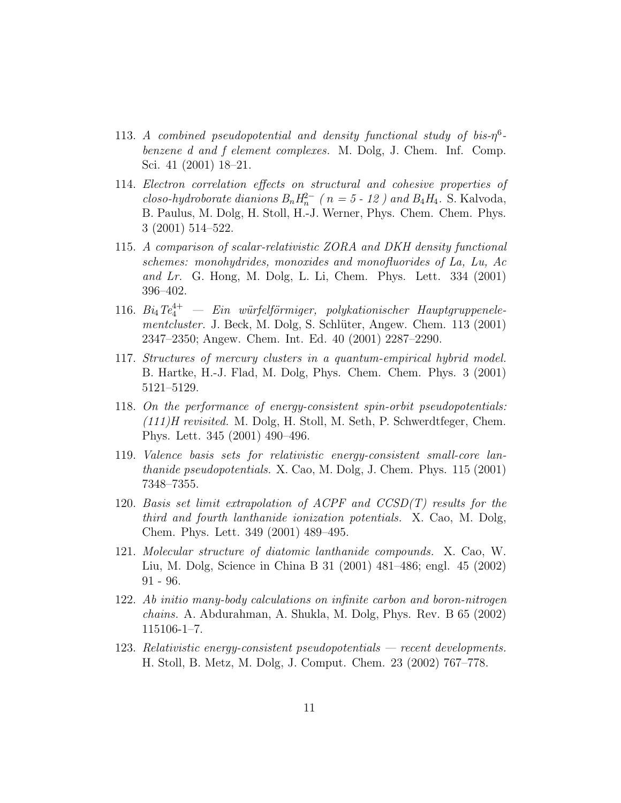- 113. A combined pseudopotential and density functional study of bis- $\eta^6$ benzene d and f element complexes. M. Dolg, J. Chem. Inf. Comp. Sci. 41 (2001) 18–21.
- 114. Electron correlation effects on structural and cohesive properties of closo-hydroborate dianions  $B_n H_n^{2-}$  ( $n = 5$  - 12) and  $B_4 H_4$ . S. Kalvoda, B. Paulus, M. Dolg, H. Stoll, H.-J. Werner, Phys. Chem. Chem. Phys. 3 (2001) 514–522.
- 115. A comparison of scalar-relativistic ZORA and DKH density functional schemes: monohydrides, monoxides and monofluorides of La, Lu, Ac and Lr. G. Hong, M. Dolg, L. Li, Chem. Phys. Lett.  $334$   $(2001)$ 396–402.
- 116. Bi<sub>4</sub>Te<sup>4+</sup> Ein würfelförmiger, polykationischer Hauptgruppenelementcluster. J. Beck, M. Dolg, S. Schlüter, Angew. Chem. 113 (2001) 2347–2350; Angew. Chem. Int. Ed. 40 (2001) 2287–2290.
- 117. Structures of mercury clusters in a quantum-empirical hybrid model. B. Hartke, H.-J. Flad, M. Dolg, Phys. Chem. Chem. Phys. 3 (2001) 5121–5129.
- 118. On the performance of energy-consistent spin-orbit pseudopotentials: (111)H revisited. M. Dolg, H. Stoll, M. Seth, P. Schwerdtfeger, Chem. Phys. Lett. 345 (2001) 490–496.
- 119. Valence basis sets for relativistic energy-consistent small-core lanthanide pseudopotentials. X. Cao, M. Dolg, J. Chem. Phys. 115 (2001) 7348–7355.
- 120. Basis set limit extrapolation of ACPF and  $CCSD(T)$  results for the third and fourth lanthanide ionization potentials. X. Cao, M. Dolg, Chem. Phys. Lett. 349 (2001) 489–495.
- 121. Molecular structure of diatomic lanthanide compounds. X. Cao, W. Liu, M. Dolg, Science in China B 31 (2001) 481–486; engl. 45 (2002) 91 - 96.
- 122. Ab initio many-body calculations on infinite carbon and boron-nitrogen chains. A. Abdurahman, A. Shukla, M. Dolg, Phys. Rev. B 65 (2002) 115106-1–7.
- 123. Relativistic energy-consistent pseudopotentials recent developments. H. Stoll, B. Metz, M. Dolg, J. Comput. Chem. 23 (2002) 767–778.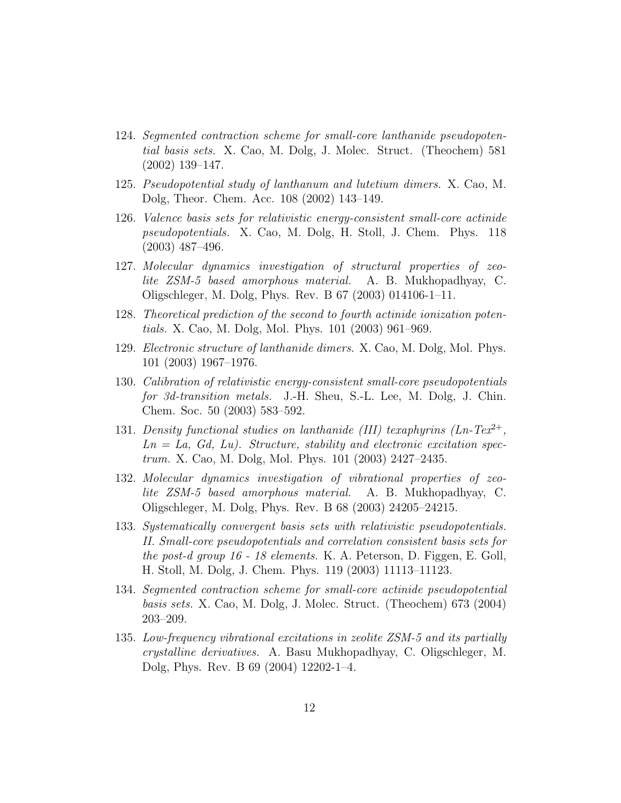- 124. Segmented contraction scheme for small-core lanthanide pseudopotential basis sets. X. Cao, M. Dolg, J. Molec. Struct. (Theochem) 581 (2002) 139–147.
- 125. Pseudopotential study of lanthanum and lutetium dimers. X. Cao, M. Dolg, Theor. Chem. Acc. 108 (2002) 143–149.
- 126. Valence basis sets for relativistic energy-consistent small-core actinide pseudopotentials. X. Cao, M. Dolg, H. Stoll, J. Chem. Phys. 118 (2003) 487–496.
- 127. Molecular dynamics investigation of structural properties of zeolite ZSM-5 based amorphous material. A. B. Mukhopadhyay, C. Oligschleger, M. Dolg, Phys. Rev. B 67 (2003) 014106-1–11.
- 128. Theoretical prediction of the second to fourth actinide ionization potentials. X. Cao, M. Dolg, Mol. Phys. 101 (2003) 961–969.
- 129. Electronic structure of lanthanide dimers. X. Cao, M. Dolg, Mol. Phys. 101 (2003) 1967–1976.
- 130. Calibration of relativistic energy-consistent small-core pseudopotentials for 3d-transition metals. J.-H. Sheu, S.-L. Lee, M. Dolg, J. Chin. Chem. Soc. 50 (2003) 583–592.
- 131. Density functional studies on lanthanide (III) texaphyrins  $(Ln-Te^{2+})$ ,  $Ln = La, Gd, Lu$ . Structure, stability and electronic excitation spectrum. X. Cao, M. Dolg, Mol. Phys. 101 (2003) 2427–2435.
- 132. Molecular dynamics investigation of vibrational properties of zeolite ZSM-5 based amorphous material. A. B. Mukhopadhyay, C. Oligschleger, M. Dolg, Phys. Rev. B 68 (2003) 24205–24215.
- 133. Systematically convergent basis sets with relativistic pseudopotentials. II. Small-core pseudopotentials and correlation consistent basis sets for the post-d group 16 - 18 elements. K. A. Peterson, D. Figgen, E. Goll, H. Stoll, M. Dolg, J. Chem. Phys. 119 (2003) 11113–11123.
- 134. Segmented contraction scheme for small-core actinide pseudopotential basis sets. X. Cao, M. Dolg, J. Molec. Struct. (Theochem) 673 (2004) 203–209.
- 135. Low-frequency vibrational excitations in zeolite ZSM-5 and its partially crystalline derivatives. A. Basu Mukhopadhyay, C. Oligschleger, M. Dolg, Phys. Rev. B 69 (2004) 12202-1–4.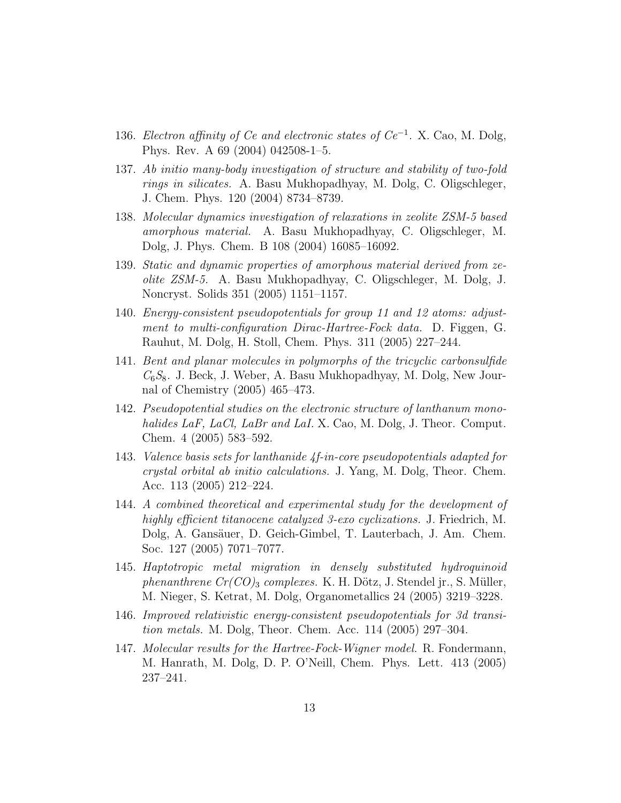- 136. Electron affinity of Ce and electronic states of  $Ce^{-1}$ . X. Cao, M. Dolg, Phys. Rev. A 69 (2004) 042508-1–5.
- 137. Ab initio many-body investigation of structure and stability of two-fold rings in silicates. A. Basu Mukhopadhyay, M. Dolg, C. Oligschleger, J. Chem. Phys. 120 (2004) 8734–8739.
- 138. Molecular dynamics investigation of relaxations in zeolite ZSM-5 based amorphous material. A. Basu Mukhopadhyay, C. Oligschleger, M. Dolg, J. Phys. Chem. B 108 (2004) 16085–16092.
- 139. Static and dynamic properties of amorphous material derived from zeolite ZSM-5. A. Basu Mukhopadhyay, C. Oligschleger, M. Dolg, J. Noncryst. Solids 351 (2005) 1151–1157.
- 140. Energy-consistent pseudopotentials for group 11 and 12 atoms: adjustment to multi-configuration Dirac-Hartree-Fock data. D. Figgen, G. Rauhut, M. Dolg, H. Stoll, Chem. Phys. 311 (2005) 227–244.
- 141. Bent and planar molecules in polymorphs of the tricyclic carbonsulfide  $C_6S_8$ . J. Beck, J. Weber, A. Basu Mukhopadhyay, M. Dolg, New Journal of Chemistry (2005) 465–473.
- 142. Pseudopotential studies on the electronic structure of lanthanum monohalides LaF, LaCl, LaBr and LaI. X. Cao, M. Dolg, J. Theor. Comput. Chem. 4 (2005) 583–592.
- 143. Valence basis sets for lanthanide 4f-in-core pseudopotentials adapted for crystal orbital ab initio calculations. J. Yang, M. Dolg, Theor. Chem. Acc. 113 (2005) 212–224.
- 144. A combined theoretical and experimental study for the development of highly efficient titanocene catalyzed 3-exo cyclizations. J. Friedrich, M. Dolg, A. Gansäuer, D. Geich-Gimbel, T. Lauterbach, J. Am. Chem. Soc. 127 (2005) 7071–7077.
- 145. Haptotropic metal migration in densely substituted hydroquinoid phenanthrene  $Cr(CO)_3$  complexes. K. H. Dötz, J. Stendel jr., S. Müller, M. Nieger, S. Ketrat, M. Dolg, Organometallics 24 (2005) 3219–3228.
- 146. Improved relativistic energy-consistent pseudopotentials for 3d transition metals. M. Dolg, Theor. Chem. Acc. 114 (2005) 297–304.
- 147. Molecular results for the Hartree-Fock-Wigner model. R. Fondermann, M. Hanrath, M. Dolg, D. P. O'Neill, Chem. Phys. Lett. 413 (2005) 237–241.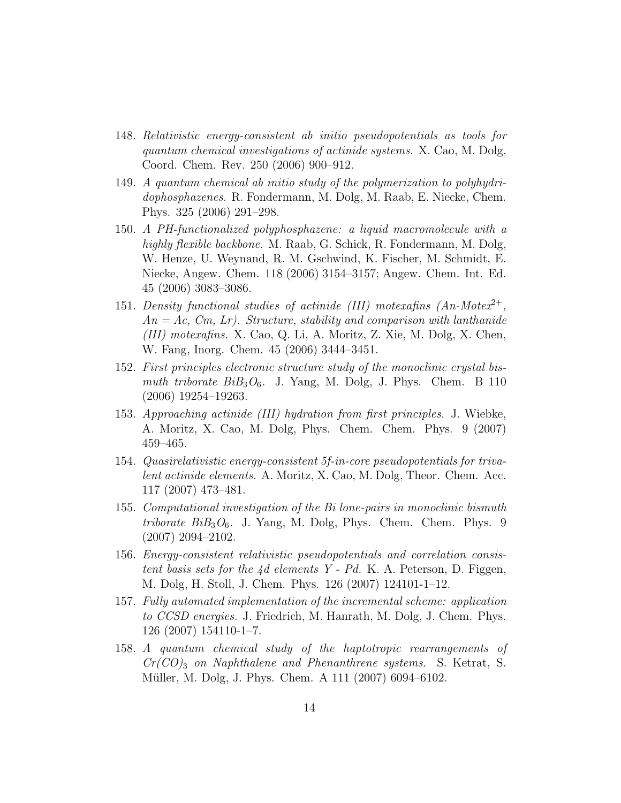- 148. Relativistic energy-consistent ab initio pseudopotentials as tools for quantum chemical investigations of actinide systems. X. Cao, M. Dolg, Coord. Chem. Rev. 250 (2006) 900–912.
- 149. A quantum chemical ab initio study of the polymerization to polyhydridophosphazenes. R. Fondermann, M. Dolg, M. Raab, E. Niecke, Chem. Phys. 325 (2006) 291–298.
- 150. A PH-functionalized polyphosphazene: a liquid macromolecule with a highly flexible backbone. M. Raab, G. Schick, R. Fondermann, M. Dolg, W. Henze, U. Weynand, R. M. Gschwind, K. Fischer, M. Schmidt, E. Niecke, Angew. Chem. 118 (2006) 3154–3157; Angew. Chem. Int. Ed. 45 (2006) 3083–3086.
- 151. Density functional studies of actinide (III) moterafins  $(An-Motex^{2+},$  $An = Ac$ ,  $Cm$ ,  $Lr$ ). Structure, stability and comparison with lanthanide (III) motexafins. X. Cao, Q. Li, A. Moritz, Z. Xie, M. Dolg, X. Chen, W. Fang, Inorg. Chem. 45 (2006) 3444–3451.
- 152. First principles electronic structure study of the monoclinic crystal bismuth triborate  $BiB_3O_6$ . J. Yang, M. Dolg, J. Phys. Chem. B 110 (2006) 19254–19263.
- 153. Approaching actinide (III) hydration from first principles. J. Wiebke, A. Moritz, X. Cao, M. Dolg, Phys. Chem. Chem. Phys. 9 (2007) 459–465.
- 154. Quasirelativistic energy-consistent 5f-in-core pseudopotentials for trivalent actinide elements. A. Moritz, X. Cao, M. Dolg, Theor. Chem. Acc. 117 (2007) 473–481.
- 155. Computational investigation of the Bi lone-pairs in monoclinic bismuth triborate  $BiB_3O_6$ . J. Yang, M. Dolg, Phys. Chem. Chem. Phys. 9 (2007) 2094–2102.
- 156. Energy-consistent relativistic pseudopotentials and correlation consistent basis sets for the 4d elements Y - Pd. K. A. Peterson, D. Figgen, M. Dolg, H. Stoll, J. Chem. Phys. 126 (2007) 124101-1–12.
- 157. Fully automated implementation of the incremental scheme: application to CCSD energies. J. Friedrich, M. Hanrath, M. Dolg, J. Chem. Phys. 126 (2007) 154110-1–7.
- 158. A quantum chemical study of the haptotropic rearrangements of  $Cr(CO)_3$  on Naphthalene and Phenanthrene systems. S. Ketrat, S. Müller, M. Dolg, J. Phys. Chem. A 111 (2007) 6094–6102.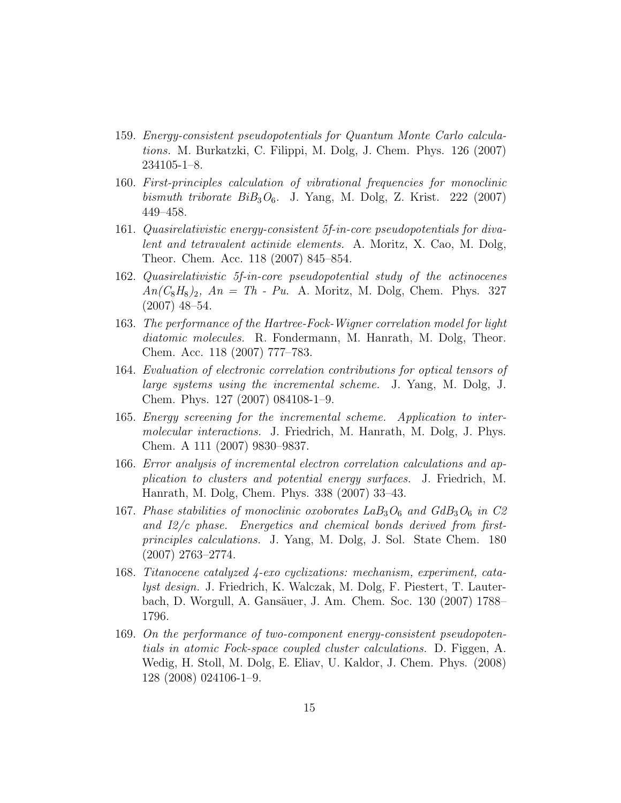- 159. Energy-consistent pseudopotentials for Quantum Monte Carlo calculations. M. Burkatzki, C. Filippi, M. Dolg, J. Chem. Phys. 126 (2007) 234105-1–8.
- 160. First-principles calculation of vibrational frequencies for monoclinic bismuth triborate  $BiB_3O_6$ . J. Yang, M. Dolg, Z. Krist. 222 (2007) 449–458.
- 161. Quasirelativistic energy-consistent 5f-in-core pseudopotentials for divalent and tetravalent actinide elements. A. Moritz, X. Cao, M. Dolg, Theor. Chem. Acc. 118 (2007) 845–854.
- 162. Quasirelativistic 5f-in-core pseudopotential study of the actinocenes  $An (C_8H_8)_2$ ,  $An = Th$  - Pu. A. Moritz, M. Dolg, Chem. Phys. 327 (2007) 48–54.
- 163. The performance of the Hartree-Fock-Wigner correlation model for light diatomic molecules. R. Fondermann, M. Hanrath, M. Dolg, Theor. Chem. Acc. 118 (2007) 777–783.
- 164. Evaluation of electronic correlation contributions for optical tensors of large systems using the incremental scheme. J. Yang, M. Dolg, J. Chem. Phys. 127 (2007) 084108-1–9.
- 165. Energy screening for the incremental scheme. Application to intermolecular interactions. J. Friedrich, M. Hanrath, M. Dolg, J. Phys. Chem. A 111 (2007) 9830–9837.
- 166. Error analysis of incremental electron correlation calculations and application to clusters and potential energy surfaces. J. Friedrich, M. Hanrath, M. Dolg, Chem. Phys. 338 (2007) 33–43.
- 167. Phase stabilities of monoclinic oxoborates  $LaB_3O_6$  and  $GdB_3O_6$  in C2 and I2/c phase. Energetics and chemical bonds derived from firstprinciples calculations. J. Yang, M. Dolg, J. Sol. State Chem. 180 (2007) 2763–2774.
- 168. Titanocene catalyzed 4-exo cyclizations: mechanism, experiment, catalyst design. J. Friedrich, K. Walczak, M. Dolg, F. Piestert, T. Lauterbach, D. Worgull, A. Gansäuer, J. Am. Chem. Soc. 130 (2007) 1788– 1796.
- 169. On the performance of two-component energy-consistent pseudopotentials in atomic Fock-space coupled cluster calculations. D. Figgen, A. Wedig, H. Stoll, M. Dolg, E. Eliav, U. Kaldor, J. Chem. Phys. (2008) 128 (2008) 024106-1–9.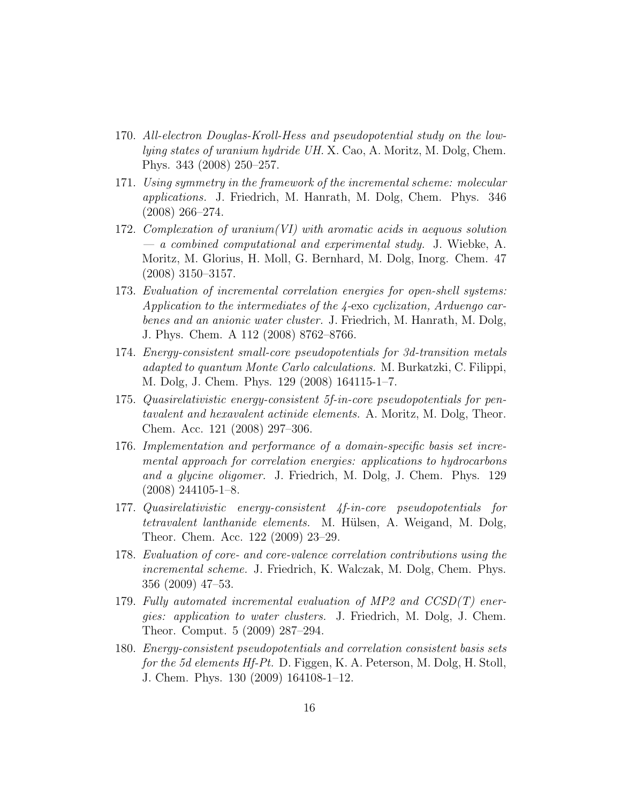- 170. All-electron Douglas-Kroll-Hess and pseudopotential study on the lowlying states of uranium hydride UH. X. Cao, A. Moritz, M. Dolg, Chem. Phys. 343 (2008) 250–257.
- 171. Using symmetry in the framework of the incremental scheme: molecular applications. J. Friedrich, M. Hanrath, M. Dolg, Chem. Phys. 346 (2008) 266–274.
- 172. Complexation of uranium(VI) with aromatic acids in aequous solution — a combined computational and experimental study. J. Wiebke, A. Moritz, M. Glorius, H. Moll, G. Bernhard, M. Dolg, Inorg. Chem. 47 (2008) 3150–3157.
- 173. Evaluation of incremental correlation energies for open-shell systems: Application to the intermediates of the 4-exo cyclization, Arduengo carbenes and an anionic water cluster. J. Friedrich, M. Hanrath, M. Dolg, J. Phys. Chem. A 112 (2008) 8762–8766.
- 174. Energy-consistent small-core pseudopotentials for 3d-transition metals adapted to quantum Monte Carlo calculations. M. Burkatzki, C. Filippi, M. Dolg, J. Chem. Phys. 129 (2008) 164115-1–7.
- 175. Quasirelativistic energy-consistent 5f-in-core pseudopotentials for pentavalent and hexavalent actinide elements. A. Moritz, M. Dolg, Theor. Chem. Acc. 121 (2008) 297–306.
- 176. Implementation and performance of a domain-specific basis set incremental approach for correlation energies: applications to hydrocarbons and a glycine oligomer. J. Friedrich, M. Dolg, J. Chem. Phys. 129  $(2008)$  244105-1-8.
- 177. Quasirelativistic energy-consistent 4f-in-core pseudopotentials for tetravalent lanthanide elements. M. Hülsen, A. Weigand, M. Dolg, Theor. Chem. Acc. 122 (2009) 23–29.
- 178. Evaluation of core- and core-valence correlation contributions using the incremental scheme. J. Friedrich, K. Walczak, M. Dolg, Chem. Phys. 356 (2009) 47–53.
- 179. Fully automated incremental evaluation of MP2 and  $CCSD(T)$  energies: application to water clusters. J. Friedrich, M. Dolg, J. Chem. Theor. Comput. 5 (2009) 287–294.
- 180. Energy-consistent pseudopotentials and correlation consistent basis sets for the 5d elements Hf-Pt. D. Figgen, K. A. Peterson, M. Dolg, H. Stoll, J. Chem. Phys. 130 (2009) 164108-1–12.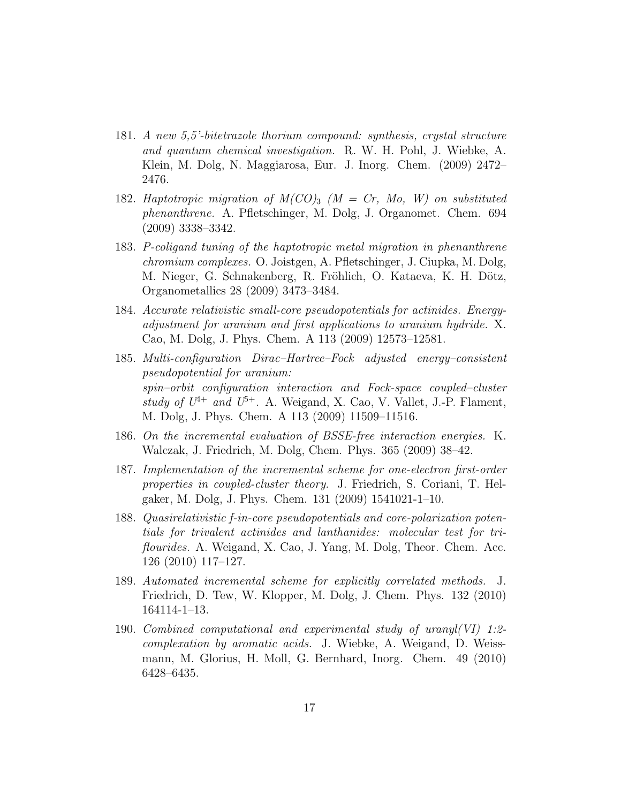- 181. A new 5,5'-bitetrazole thorium compound: synthesis, crystal structure and quantum chemical investigation. R. W. H. Pohl, J. Wiebke, A. Klein, M. Dolg, N. Maggiarosa, Eur. J. Inorg. Chem. (2009) 2472– 2476.
- 182. Haptotropic migration of  $M(CO)_3$  ( $M = Cr$ , Mo, W) on substituted phenanthrene. A. Pfletschinger, M. Dolg, J. Organomet. Chem. 694 (2009) 3338–3342.
- 183. P-coligand tuning of the haptotropic metal migration in phenanthrene chromium complexes. O. Joistgen, A. Pfletschinger, J. Ciupka, M. Dolg, M. Nieger, G. Schnakenberg, R. Fröhlich, O. Kataeva, K. H. Dötz, Organometallics 28 (2009) 3473–3484.
- 184. Accurate relativistic small-core pseudopotentials for actinides. Energyadjustment for uranium and first applications to uranium hydride. X. Cao, M. Dolg, J. Phys. Chem. A 113 (2009) 12573–12581.
- 185. Multi-configuration Dirac–Hartree–Fock adjusted energy–consistent pseudopotential for uranium: spin–orbit configuration interaction and Fock-space coupled–cluster study of  $U^{4+}$  and  $U^{5+}$ . A. Weigand, X. Cao, V. Vallet, J.-P. Flament, M. Dolg, J. Phys. Chem. A 113 (2009) 11509–11516.
- 186. On the incremental evaluation of BSSE-free interaction energies. K. Walczak, J. Friedrich, M. Dolg, Chem. Phys. 365 (2009) 38–42.
- 187. Implementation of the incremental scheme for one-electron first-order properties in coupled-cluster theory. J. Friedrich, S. Coriani, T. Helgaker, M. Dolg, J. Phys. Chem. 131 (2009) 1541021-1–10.
- 188. Quasirelativistic f-in-core pseudopotentials and core-polarization potentials for trivalent actinides and lanthanides: molecular test for triflourides. A. Weigand, X. Cao, J. Yang, M. Dolg, Theor. Chem. Acc. 126 (2010) 117–127.
- 189. Automated incremental scheme for explicitly correlated methods. J. Friedrich, D. Tew, W. Klopper, M. Dolg, J. Chem. Phys. 132 (2010) 164114-1–13.
- 190. Combined computational and experimental study of uranyl(VI) 1:2 complexation by aromatic acids. J. Wiebke, A. Weigand, D. Weissmann, M. Glorius, H. Moll, G. Bernhard, Inorg. Chem. 49 (2010) 6428–6435.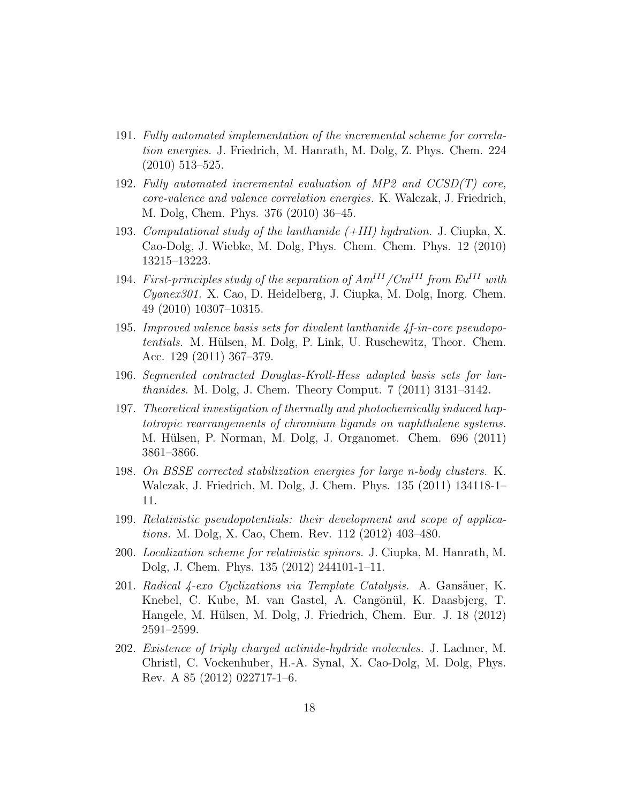- 191. Fully automated implementation of the incremental scheme for correlation energies. J. Friedrich, M. Hanrath, M. Dolg, Z. Phys. Chem. 224 (2010) 513–525.
- 192. Fully automated incremental evaluation of MP2 and  $CCSD(T)$  core, core-valence and valence correlation energies. K. Walczak, J. Friedrich, M. Dolg, Chem. Phys. 376 (2010) 36–45.
- 193. Computational study of the lanthanide (+III) hydration. J. Ciupka, X. Cao-Dolg, J. Wiebke, M. Dolg, Phys. Chem. Chem. Phys. 12 (2010) 13215–13223.
- 194. First-principles study of the separation of  $Am^{III}/Cm^{III}$  from  $Eu^{III}$  with Cyanex301. X. Cao, D. Heidelberg, J. Ciupka, M. Dolg, Inorg. Chem. 49 (2010) 10307–10315.
- 195. Improved valence basis sets for divalent lanthanide 4f-in-core pseudopotentials. M. Hülsen, M. Dolg, P. Link, U. Ruschewitz, Theor. Chem. Acc. 129 (2011) 367–379.
- 196. Segmented contracted Douglas-Kroll-Hess adapted basis sets for lanthanides. M. Dolg, J. Chem. Theory Comput. 7 (2011) 3131–3142.
- 197. Theoretical investigation of thermally and photochemically induced haptotropic rearrangements of chromium ligands on naphthalene systems. M. Hülsen, P. Norman, M. Dolg, J. Organomet. Chem. 696 (2011) 3861–3866.
- 198. On BSSE corrected stabilization energies for large n-body clusters. K. Walczak, J. Friedrich, M. Dolg, J. Chem. Phys. 135 (2011) 134118-1– 11.
- 199. Relativistic pseudopotentials: their development and scope of applications. M. Dolg, X. Cao, Chem. Rev. 112 (2012) 403–480.
- 200. Localization scheme for relativistic spinors. J. Ciupka, M. Hanrath, M. Dolg, J. Chem. Phys. 135 (2012) 244101-1–11.
- 201. Radical  $\chi$ -exo Cyclizations via Template Catalysis. A. Gansäuer, K. Knebel, C. Kube, M. van Gastel, A. Cangönül, K. Daasbjerg, T. Hangele, M. Hülsen, M. Dolg, J. Friedrich, Chem. Eur. J. 18 (2012) 2591–2599.
- 202. Existence of triply charged actinide-hydride molecules. J. Lachner, M. Christl, C. Vockenhuber, H.-A. Synal, X. Cao-Dolg, M. Dolg, Phys. Rev. A 85 (2012) 022717-1–6.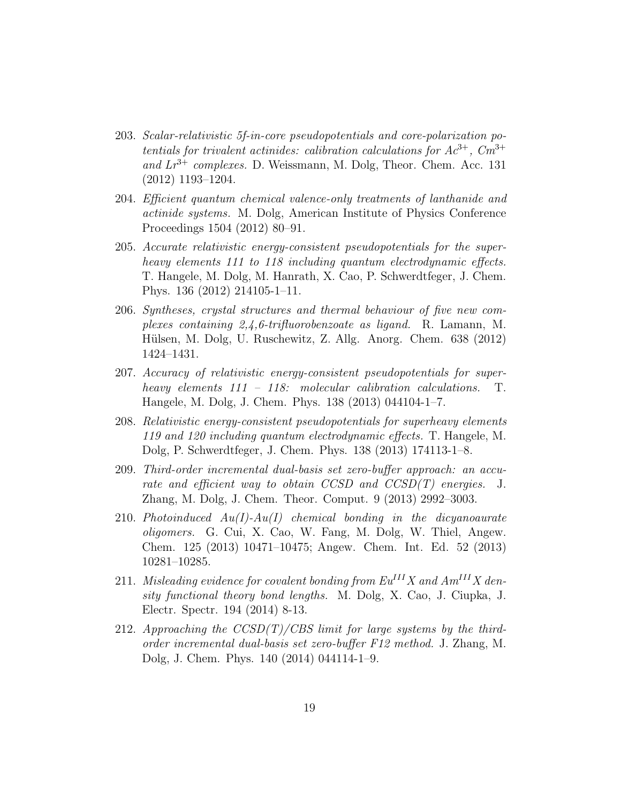- 203. Scalar-relativistic 5f-in-core pseudopotentials and core-polarization potentials for trivalent actinides: calibration calculations for  $Ac^{3+}$ ,  $Cm^{3+}$ and  $Lr^{3+}$  complexes. D. Weissmann, M. Dolg, Theor. Chem. Acc. 131 (2012) 1193–1204.
- 204. Efficient quantum chemical valence-only treatments of lanthanide and actinide systems. M. Dolg, American Institute of Physics Conference Proceedings 1504 (2012) 80–91.
- 205. Accurate relativistic energy-consistent pseudopotentials for the superheavy elements 111 to 118 including quantum electrodynamic effects. T. Hangele, M. Dolg, M. Hanrath, X. Cao, P. Schwerdtfeger, J. Chem. Phys. 136 (2012) 214105-1–11.
- 206. Syntheses, crystal structures and thermal behaviour of five new complexes containing 2,4,6-trifluorobenzoate as ligand. R. Lamann, M. Hülsen, M. Dolg, U. Ruschewitz, Z. Allg. Anorg. Chem. 638 (2012) 1424–1431.
- 207. Accuracy of relativistic energy-consistent pseudopotentials for superheavy elements 111 – 118: molecular calibration calculations. T. Hangele, M. Dolg, J. Chem. Phys. 138 (2013) 044104-1–7.
- 208. Relativistic energy-consistent pseudopotentials for superheavy elements 119 and 120 including quantum electrodynamic effects. T. Hangele, M. Dolg, P. Schwerdtfeger, J. Chem. Phys. 138 (2013) 174113-1–8.
- 209. Third-order incremental dual-basis set zero-buffer approach: an accurate and efficient way to obtain CCSD and CCSD(T) energies. J. Zhang, M. Dolg, J. Chem. Theor. Comput. 9 (2013) 2992–3003.
- 210. Photoinduced  $Au(I)$ -Au(I) chemical bonding in the dicyanoaurate oligomers. G. Cui, X. Cao, W. Fang, M. Dolg, W. Thiel, Angew. Chem. 125 (2013) 10471–10475; Angew. Chem. Int. Ed. 52 (2013) 10281–10285.
- 211. Misleading evidence for covalent bonding from  $Eu^{III}X$  and  $Am^{III}X$  density functional theory bond lengths. M. Dolg, X. Cao, J. Ciupka, J. Electr. Spectr. 194 (2014) 8-13.
- 212. Approaching the  $CCSD(T)/CBS$  limit for large systems by the thirdorder incremental dual-basis set zero-buffer F12 method. J. Zhang, M. Dolg, J. Chem. Phys. 140 (2014) 044114-1–9.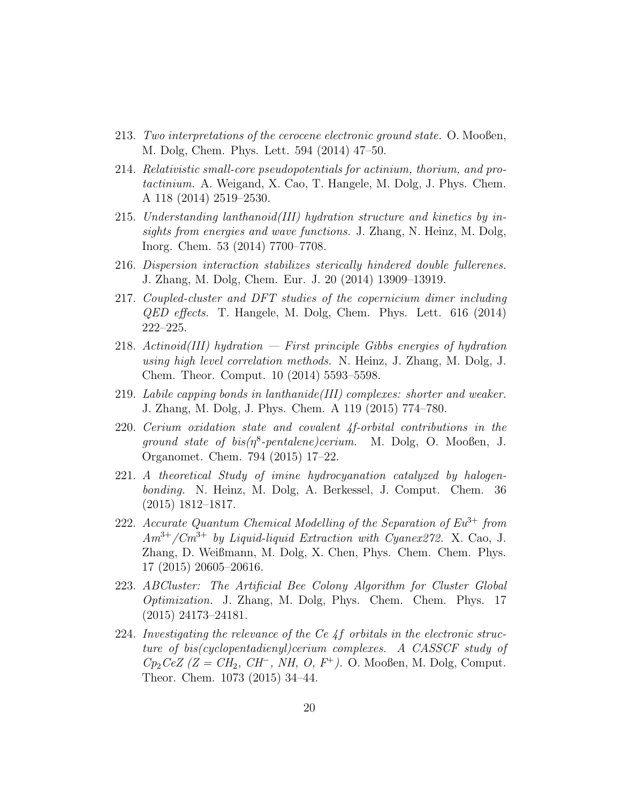- 213. Two interpretations of the cerocene electronic ground state. O. Mooßen, M. Dolg, Chem. Phys. Lett. 594 (2014) 47–50.
- 214. Relativistic small-core pseudopotentials for actinium, thorium, and protactinium. A. Weigand, X. Cao, T. Hangele, M. Dolg, J. Phys. Chem. A 118 (2014) 2519–2530.
- 215. Understanding lanthanoid(III) hydration structure and kinetics by insights from energies and wave functions. J. Zhang, N. Heinz, M. Dolg, Inorg. Chem. 53 (2014) 7700–7708.
- 216. Dispersion interaction stabilizes sterically hindered double fullerenes. J. Zhang, M. Dolg, Chem. Eur. J. 20 (2014) 13909–13919.
- 217. Coupled-cluster and DFT studies of the copernicium dimer including QED effects. T. Hangele, M. Dolg, Chem. Phys. Lett. 616 (2014) 222–225.
- 218. Actinoid(III) hydration First principle Gibbs energies of hydration using high level correlation methods. N. Heinz, J. Zhang, M. Dolg, J. Chem. Theor. Comput. 10 (2014) 5593–5598.
- 219. Labile capping bonds in lanthanide(III) complexes: shorter and weaker. J. Zhang, M. Dolg, J. Phys. Chem. A 119 (2015) 774–780.
- 220. Cerium oxidation state and covalent 4f-orbital contributions in the ground state of  $bis(\eta^8\text{-}pentalene) cerium.$  M. Dolg, O. Mooßen, J. Organomet. Chem. 794 (2015) 17–22.
- 221. A theoretical Study of imine hydrocyanation catalyzed by halogenbonding. N. Heinz, M. Dolg, A. Berkessel, J. Comput. Chem. 36 (2015) 1812–1817.
- 222. Accurate Quantum Chemical Modelling of the Separation of  $Eu^{3+}$  from  $Am^{3+}/Cm^{3+}$  by Liquid-liquid Extraction with Cyanex 272. X. Cao, J. Zhang, D. Weißmann, M. Dolg, X. Chen, Phys. Chem. Chem. Phys. 17 (2015) 20605–20616.
- 223. ABCluster: The Artificial Bee Colony Algorithm for Cluster Global Optimization. J. Zhang, M. Dolg, Phys. Chem. Chem. Phys. 17 (2015) 24173–24181.
- 224. Investigating the relevance of the Ce 4f orbitals in the electronic structure of bis(cyclopentadienyl)cerium complexes. A CASSCF study of  $Cp_2CeZ$  (Z =  $CH_2$ ,  $CH^-$ , NH, O, F<sup>+</sup>). O. Mooßen, M. Dolg, Comput. Theor. Chem. 1073 (2015) 34–44.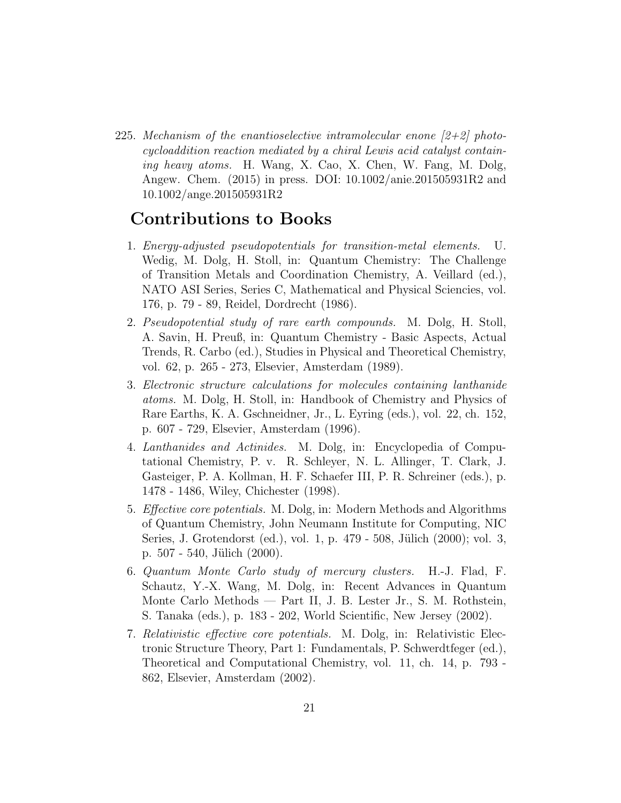225. Mechanism of the enantioselective intramolecular enone  $(2+2)$  photocycloaddition reaction mediated by a chiral Lewis acid catalyst containing heavy atoms. H. Wang, X. Cao, X. Chen, W. Fang, M. Dolg, Angew. Chem. (2015) in press. DOI: 10.1002/anie.201505931R2 and 10.1002/ange.201505931R2

#### Contributions to Books

- 1. Energy-adjusted pseudopotentials for transition-metal elements. U. Wedig, M. Dolg, H. Stoll, in: Quantum Chemistry: The Challenge of Transition Metals and Coordination Chemistry, A. Veillard (ed.), NATO ASI Series, Series C, Mathematical and Physical Sciencies, vol. 176, p. 79 - 89, Reidel, Dordrecht (1986).
- 2. Pseudopotential study of rare earth compounds. M. Dolg, H. Stoll, A. Savin, H. Preuß, in: Quantum Chemistry - Basic Aspects, Actual Trends, R. Carbo (ed.), Studies in Physical and Theoretical Chemistry, vol. 62, p. 265 - 273, Elsevier, Amsterdam (1989).
- 3. Electronic structure calculations for molecules containing lanthanide atoms. M. Dolg, H. Stoll, in: Handbook of Chemistry and Physics of Rare Earths, K. A. Gschneidner, Jr., L. Eyring (eds.), vol. 22, ch. 152, p. 607 - 729, Elsevier, Amsterdam (1996).
- 4. Lanthanides and Actinides. M. Dolg, in: Encyclopedia of Computational Chemistry, P. v. R. Schleyer, N. L. Allinger, T. Clark, J. Gasteiger, P. A. Kollman, H. F. Schaefer III, P. R. Schreiner (eds.), p. 1478 - 1486, Wiley, Chichester (1998).
- 5. Effective core potentials. M. Dolg, in: Modern Methods and Algorithms of Quantum Chemistry, John Neumann Institute for Computing, NIC Series, J. Grotendorst (ed.), vol. 1, p. 479 - 508, Jülich (2000); vol. 3, p.  $507 - 540$ , Jülich  $(2000)$ .
- 6. Quantum Monte Carlo study of mercury clusters. H.-J. Flad, F. Schautz, Y.-X. Wang, M. Dolg, in: Recent Advances in Quantum Monte Carlo Methods — Part II, J. B. Lester Jr., S. M. Rothstein, S. Tanaka (eds.), p. 183 - 202, World Scientific, New Jersey (2002).
- 7. Relativistic effective core potentials. M. Dolg, in: Relativistic Electronic Structure Theory, Part 1: Fundamentals, P. Schwerdtfeger (ed.), Theoretical and Computational Chemistry, vol. 11, ch. 14, p. 793 - 862, Elsevier, Amsterdam (2002).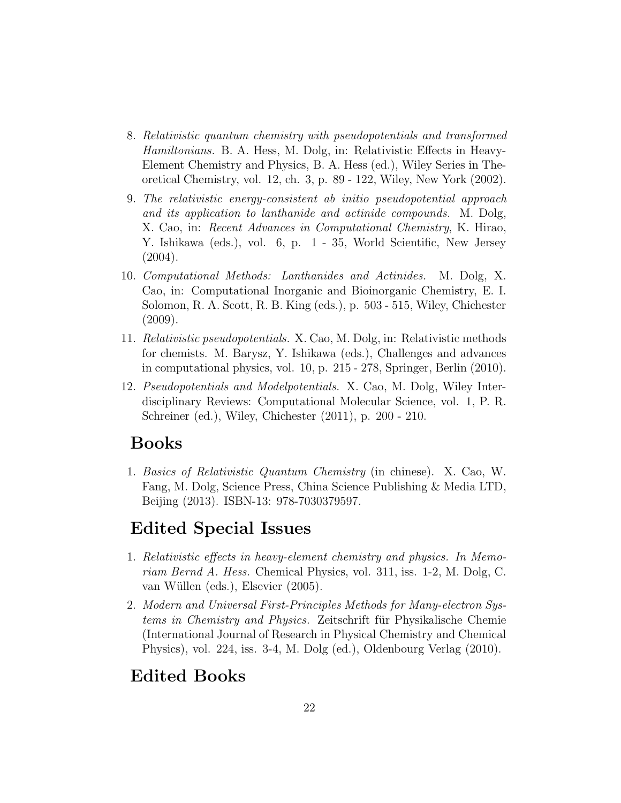- 8. Relativistic quantum chemistry with pseudopotentials and transformed Hamiltonians. B. A. Hess, M. Dolg, in: Relativistic Effects in Heavy-Element Chemistry and Physics, B. A. Hess (ed.), Wiley Series in Theoretical Chemistry, vol. 12, ch. 3, p. 89 - 122, Wiley, New York (2002).
- 9. The relativistic energy-consistent ab initio pseudopotential approach and its application to lanthanide and actinide compounds. M. Dolg, X. Cao, in: Recent Advances in Computational Chemistry, K. Hirao, Y. Ishikawa (eds.), vol. 6, p. 1 - 35, World Scientific, New Jersey (2004).
- 10. Computational Methods: Lanthanides and Actinides. M. Dolg, X. Cao, in: Computational Inorganic and Bioinorganic Chemistry, E. I. Solomon, R. A. Scott, R. B. King (eds.), p. 503 - 515, Wiley, Chichester (2009).
- 11. Relativistic pseudopotentials. X. Cao, M. Dolg, in: Relativistic methods for chemists. M. Barysz, Y. Ishikawa (eds.), Challenges and advances in computational physics, vol. 10, p. 215 - 278, Springer, Berlin (2010).
- 12. Pseudopotentials and Modelpotentials. X. Cao, M. Dolg, Wiley Interdisciplinary Reviews: Computational Molecular Science, vol. 1, P. R. Schreiner (ed.), Wiley, Chichester (2011), p. 200 - 210.

#### Books

1. Basics of Relativistic Quantum Chemistry (in chinese). X. Cao, W. Fang, M. Dolg, Science Press, China Science Publishing & Media LTD, Beijing (2013). ISBN-13: 978-7030379597.

## Edited Special Issues

- 1. Relativistic effects in heavy-element chemistry and physics. In Memoriam Bernd A. Hess. Chemical Physics, vol. 311, iss. 1-2, M. Dolg, C. van Wüllen (eds.), Elsevier (2005).
- 2. Modern and Universal First-Principles Methods for Many-electron Systems in Chemistry and Physics. Zeitschrift für Physikalische Chemie (International Journal of Research in Physical Chemistry and Chemical Physics), vol. 224, iss. 3-4, M. Dolg (ed.), Oldenbourg Verlag (2010).

## Edited Books